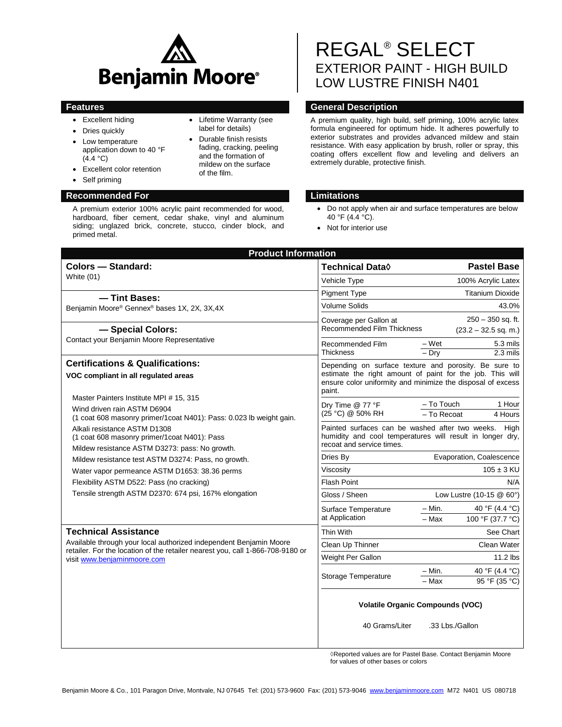

- Excellent hiding
- Dries quickly
- Low temperature application down to 40 °F  $(4.4 °C)$
- Excellent color retention
- Self priming

## **Recommended For Limitations**

A premium exterior 100% acrylic paint recommended for wood, hardboard, fiber cement, cedar shake, vinyl and aluminum siding; unglazed brick, concrete, stucco, cinder block, and primed metal.

# REGAL® SELECT EXTERIOR PAINT - HIGH BUILD LOW LUSTRE FINISH N401

## **Features General Description**

A premium quality, high build, self priming, 100% acrylic latex formula engineered for optimum hide. It adheres powerfully to exterior substrates and provides advanced mildew and stain resistance. With easy application by brush, roller or spray, this coating offers excellent flow and leveling and delivers an extremely durable, protective finish.

- Do not apply when air and surface temperatures are below 40 °F (4.4 °C).
- Not for interior use

| <b>Product Information</b>                                                                                                                                                                                 |                                                                                                                                                                                             |                                               |  |
|------------------------------------------------------------------------------------------------------------------------------------------------------------------------------------------------------------|---------------------------------------------------------------------------------------------------------------------------------------------------------------------------------------------|-----------------------------------------------|--|
| Colors - Standard:<br><b>White (01)</b>                                                                                                                                                                    | <b>Technical Data</b> ♦                                                                                                                                                                     | <b>Pastel Base</b>                            |  |
|                                                                                                                                                                                                            | Vehicle Type                                                                                                                                                                                | 100% Acrylic Latex                            |  |
| -Tint Bases:<br>Benjamin Moore® Gennex® bases 1X, 2X, 3X,4X<br>- Special Colors:<br>Contact your Benjamin Moore Representative                                                                             | <b>Pigment Type</b>                                                                                                                                                                         | <b>Titanium Dioxide</b>                       |  |
|                                                                                                                                                                                                            | <b>Volume Solids</b>                                                                                                                                                                        | 43.0%                                         |  |
|                                                                                                                                                                                                            | Coverage per Gallon at<br><b>Recommended Film Thickness</b>                                                                                                                                 | $250 - 350$ sq. ft.<br>$(23.2 - 32.5$ sq. m.) |  |
|                                                                                                                                                                                                            | Recommended Film<br><b>Thickness</b>                                                                                                                                                        | – Wet<br>5.3 mils<br>$-$ Drv<br>$2.3$ mils    |  |
| <b>Certifications &amp; Qualifications:</b>                                                                                                                                                                | Depending on surface texture and porosity. Be sure to<br>estimate the right amount of paint for the job. This will<br>ensure color uniformity and minimize the disposal of excess<br>paint. |                                               |  |
| VOC compliant in all regulated areas                                                                                                                                                                       |                                                                                                                                                                                             |                                               |  |
| Master Painters Institute MPI # 15, 315                                                                                                                                                                    | Dry Time @ 77 °F                                                                                                                                                                            | - To Touch<br>1 Hour                          |  |
| Wind driven rain ASTM D6904<br>(1 coat 608 masonry primer/1 coat N401): Pass: 0.023 lb weight gain.                                                                                                        | (25 °C) @ 50% RH                                                                                                                                                                            | - To Recoat<br>4 Hours                        |  |
| Alkali resistance ASTM D1308<br>(1 coat 608 masonry primer/1coat N401): Pass<br>Mildew resistance ASTM D3273: pass: No growth.                                                                             | Painted surfaces can be washed after two weeks. High<br>humidity and cool temperatures will result in longer dry,<br>recoat and service times.                                              |                                               |  |
| Mildew resistance test ASTM D3274: Pass, no growth.<br>Water vapor permeance ASTM D1653: 38.36 perms<br>Flexibility ASTM D522: Pass (no cracking)<br>Tensile strength ASTM D2370: 674 psi, 167% elongation | Dries By                                                                                                                                                                                    | Evaporation, Coalescence                      |  |
|                                                                                                                                                                                                            | Viscosity                                                                                                                                                                                   | $105 \pm 3$ KU                                |  |
|                                                                                                                                                                                                            | <b>Flash Point</b>                                                                                                                                                                          | N/A                                           |  |
|                                                                                                                                                                                                            | Gloss / Sheen                                                                                                                                                                               | Low Lustre (10-15 @ 60°)                      |  |
|                                                                                                                                                                                                            | Surface Temperature<br>at Application                                                                                                                                                       | – Min.<br>40 °F (4.4 °C)                      |  |
|                                                                                                                                                                                                            |                                                                                                                                                                                             | 100 °F (37.7 °C)<br>- Max                     |  |
| <b>Technical Assistance</b>                                                                                                                                                                                | Thin With                                                                                                                                                                                   | See Chart                                     |  |
| Available through your local authorized independent Benjamin Moore<br>retailer. For the location of the retailer nearest you, call 1-866-708-9180 or<br>visit www.benjaminmoore.com                        | Clean Up Thinner                                                                                                                                                                            | Clean Water                                   |  |
|                                                                                                                                                                                                            | Weight Per Gallon                                                                                                                                                                           | $11.2$ lbs                                    |  |
|                                                                                                                                                                                                            | Storage Temperature                                                                                                                                                                         | – Min.<br>40 °F (4.4 °C)                      |  |
|                                                                                                                                                                                                            |                                                                                                                                                                                             | $-$ Max<br>95 °F (35 °C)                      |  |
|                                                                                                                                                                                                            | <b>Volatile Organic Compounds (VOC)</b>                                                                                                                                                     |                                               |  |
|                                                                                                                                                                                                            | 40 Grams/Liter                                                                                                                                                                              | .33 Lbs./Gallon                               |  |

Reported values are for Pastel Base. Contact Benjamin Moore for values of other bases or colors

 Lifetime Warranty (see label for details) Durable finish resists fading, cracking, peeling and the formation of mildew on the surface of the film.